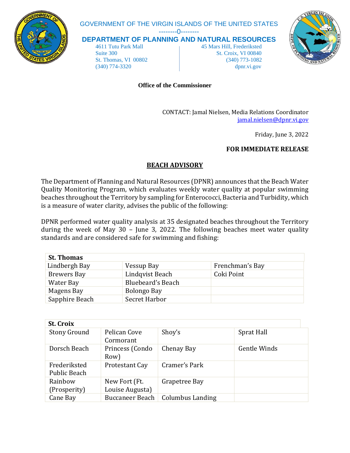

# GOVERNMENT OF THE VIRGIN ISLANDS OF THE UNITED STATES

--------0--------

**DEPARTMENT OF PLANNING AND NATURAL RESOURCES**

 4611 Tutu Park Mall 45 Mars Hill, Frederiksted Suite 300 St. Croix, VI 00840 St. Thomas, VI 00802 (340) 773-1082 (340) 774-3320 dpnr.vi.gov



#### **Office of the Commissioner**

CONTACT: Jamal Nielsen, Media Relations Coordinator [jamal.nielsen@dpnr.vi.gov](mailto:jamal.nielsen@dpnr.vi.gov)

Friday, June 3, 2022

## **FOR IMMEDIATE RELEASE**

## **BEACH ADVISORY**

The Department of Planning and Natural Resources (DPNR) announces that the Beach Water Quality Monitoring Program, which evaluates weekly water quality at popular swimming beaches throughout the Territory by sampling for Enterococci, Bacteria and Turbidity, which is a measure of water clarity, advises the public of the following:

DPNR performed water quality analysis at 35 designated beaches throughout the Territory during the week of May 30 – June 3, 2022. The following beaches meet water quality standards and are considered safe for swimming and fishing:

| <b>St. Thomas</b>  |                          |                 |  |  |
|--------------------|--------------------------|-----------------|--|--|
| Lindbergh Bay      | Vessup Bay               | Frenchman's Bay |  |  |
| <b>Brewers Bay</b> | Lindqvist Beach          | Coki Point      |  |  |
| Water Bay          | <b>Bluebeard's Beach</b> |                 |  |  |
| Magens Bay         | Bolongo Bay              |                 |  |  |
| Sapphire Beach     | Secret Harbor            |                 |  |  |

| <b>St. Croix</b>             |                                  |                         |              |  |
|------------------------------|----------------------------------|-------------------------|--------------|--|
| <b>Stony Ground</b>          | Pelican Cove<br>Cormorant        | Shoy's                  | Sprat Hall   |  |
| Dorsch Beach                 | Princess (Condo<br>Row)          | Chenay Bay              | Gentle Winds |  |
| Frederiksted<br>Public Beach | Protestant Cay                   | Cramer's Park           |              |  |
| Rainbow<br>(Prosperity)      | New Fort (Ft.<br>Louise Augusta) | Grapetree Bay           |              |  |
| Cane Bay                     | <b>Buccaneer Beach</b>           | <b>Columbus Landing</b> |              |  |